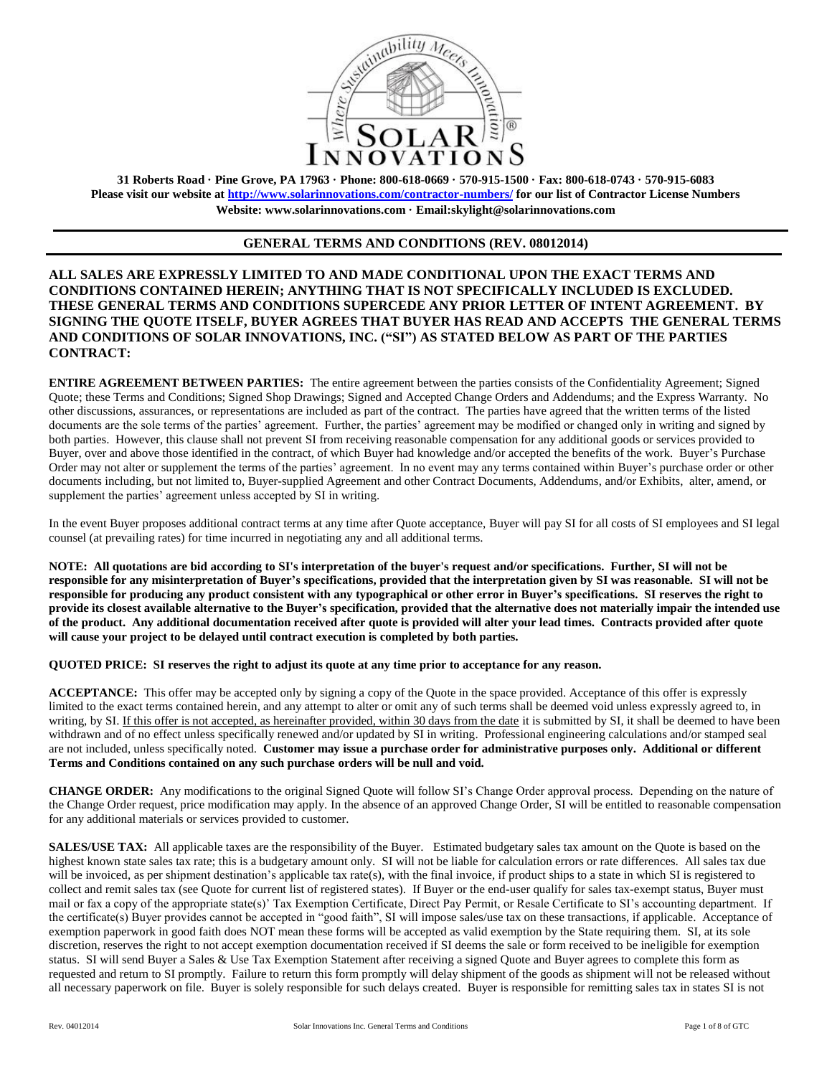

**31 Roberts Road · Pine Grove, PA 17963 · Phone: 800-618-0669 · 570-915-1500 · Fax: 800-618-0743 · 570-915-6083 Please visit our website at<http://www.solarinnovations.com/contractor-numbers/> for our list of Contractor License Numbers Website: [www.solarinnovations.com](http://www.solarinnovations.com/) · Email:skylight@solarinnovations.com**

# **GENERAL TERMS AND CONDITIONS (REV. 08012014)**

**ALL SALES ARE EXPRESSLY LIMITED TO AND MADE CONDITIONAL UPON THE EXACT TERMS AND CONDITIONS CONTAINED HEREIN; ANYTHING THAT IS NOT SPECIFICALLY INCLUDED IS EXCLUDED. THESE GENERAL TERMS AND CONDITIONS SUPERCEDE ANY PRIOR LETTER OF INTENT AGREEMENT. BY SIGNING THE QUOTE ITSELF, BUYER AGREES THAT BUYER HAS READ AND ACCEPTS THE GENERAL TERMS AND CONDITIONS OF SOLAR INNOVATIONS, INC. ("SI") AS STATED BELOW AS PART OF THE PARTIES CONTRACT:**

**ENTIRE AGREEMENT BETWEEN PARTIES:** The entire agreement between the parties consists of the Confidentiality Agreement; Signed Quote; these Terms and Conditions; Signed Shop Drawings; Signed and Accepted Change Orders and Addendums; and the Express Warranty. No other discussions, assurances, or representations are included as part of the contract. The parties have agreed that the written terms of the listed documents are the sole terms of the parties' agreement. Further, the parties' agreement may be modified or changed only in writing and signed by both parties. However, this clause shall not prevent SI from receiving reasonable compensation for any additional goods or services provided to Buyer, over and above those identified in the contract, of which Buyer had knowledge and/or accepted the benefits of the work. Buyer's Purchase Order may not alter or supplement the terms of the parties' agreement. In no event may any terms contained within Buyer's purchase order or other documents including, but not limited to, Buyer-supplied Agreement and other Contract Documents, Addendums, and/or Exhibits, alter, amend, or supplement the parties' agreement unless accepted by SI in writing.

In the event Buyer proposes additional contract terms at any time after Quote acceptance, Buyer will pay SI for all costs of SI employees and SI legal counsel (at prevailing rates) for time incurred in negotiating any and all additional terms.

**NOTE: All quotations are bid according to SI's interpretation of the buyer's request and/or specifications. Further, SI will not be responsible for any misinterpretation of Buyer's specifications, provided that the interpretation given by SI was reasonable. SI will not be responsible for producing any product consistent with any typographical or other error in Buyer's specifications. SI reserves the right to provide its closest available alternative to the Buyer's specification, provided that the alternative does not materially impair the intended use of the product. Any additional documentation received after quote is provided will alter your lead times. Contracts provided after quote will cause your project to be delayed until contract execution is completed by both parties.** 

**QUOTED PRICE: SI reserves the right to adjust its quote at any time prior to acceptance for any reason.** 

**ACCEPTANCE:** This offer may be accepted only by signing a copy of the Quote in the space provided. Acceptance of this offer is expressly limited to the exact terms contained herein, and any attempt to alter or omit any of such terms shall be deemed void unless expressly agreed to, in writing, by SI. If this offer is not accepted, as hereinafter provided, within 30 days from the date it is submitted by SI, it shall be deemed to have been withdrawn and of no effect unless specifically renewed and/or updated by SI in writing. Professional engineering calculations and/or stamped seal are not included, unless specifically noted. **Customer may issue a purchase order for administrative purposes only. Additional or different Terms and Conditions contained on any such purchase orders will be null and void.**

**CHANGE ORDER:** Any modifications to the original Signed Quote will follow SI's Change Order approval process. Depending on the nature of the Change Order request, price modification may apply. In the absence of an approved Change Order, SI will be entitled to reasonable compensation for any additional materials or services provided to customer.

**SALES/USE TAX:** All applicable taxes are the responsibility of the Buyer. Estimated budgetary sales tax amount on the Quote is based on the highest known state sales tax rate; this is a budgetary amount only. SI will not be liable for calculation errors or rate differences. All sales tax due will be invoiced, as per shipment destination's applicable tax rate(s), with the final invoice, if product ships to a state in which SI is registered to collect and remit sales tax (see Quote for current list of registered states). If Buyer or the end-user qualify for sales tax-exempt status, Buyer must mail or fax a copy of the appropriate state(s)' Tax Exemption Certificate, Direct Pay Permit, or Resale Certificate to SI's accounting department. If the certificate(s) Buyer provides cannot be accepted in "good faith", SI will impose sales/use tax on these transactions, if applicable. Acceptance of exemption paperwork in good faith does NOT mean these forms will be accepted as valid exemption by the State requiring them. SI, at its sole discretion, reserves the right to not accept exemption documentation received if SI deems the sale or form received to be ineligible for exemption status. SI will send Buyer a Sales & Use Tax Exemption Statement after receiving a signed Quote and Buyer agrees to complete this form as requested and return to SI promptly. Failure to return this form promptly will delay shipment of the goods as shipment will not be released without all necessary paperwork on file. Buyer is solely responsible for such delays created. Buyer is responsible for remitting sales tax in states SI is not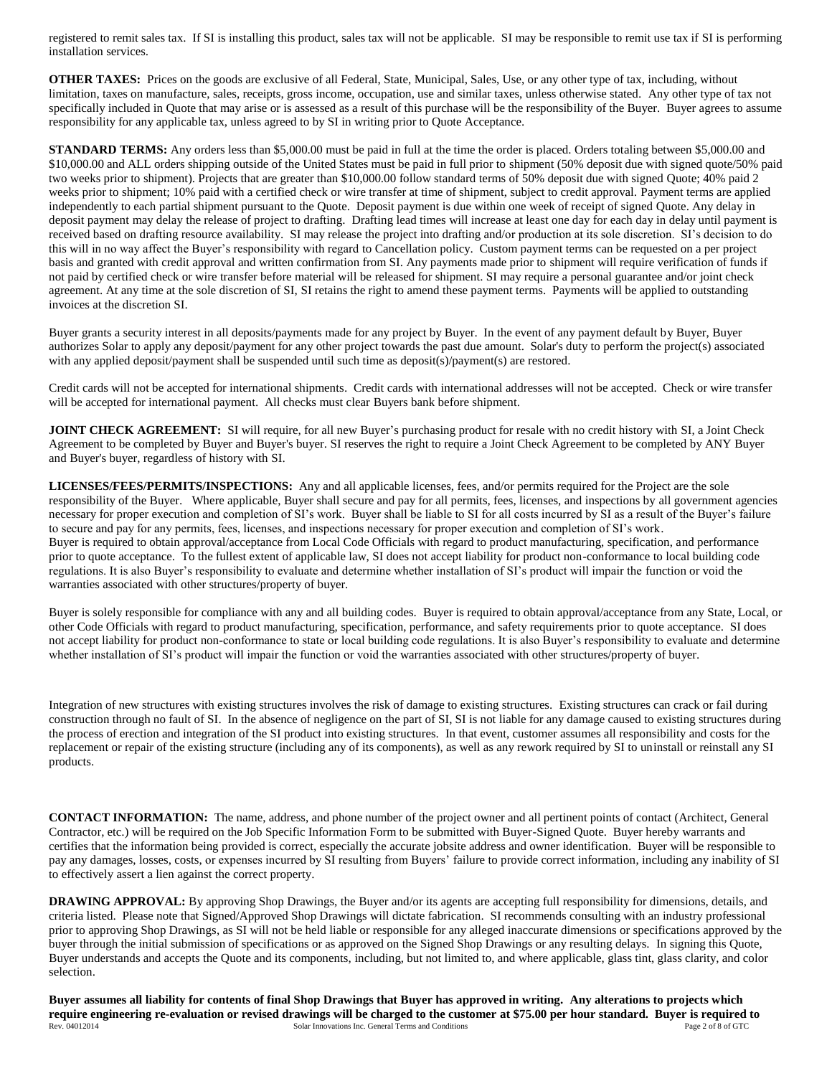registered to remit sales tax. If SI is installing this product, sales tax will not be applicable. SI may be responsible to remit use tax if SI is performing installation services.

**OTHER TAXES:** Prices on the goods are exclusive of all Federal, State, Municipal, Sales, Use, or any other type of tax, including, without limitation, taxes on manufacture, sales, receipts, gross income, occupation, use and similar taxes, unless otherwise stated. Any other type of tax not specifically included in Quote that may arise or is assessed as a result of this purchase will be the responsibility of the Buyer. Buyer agrees to assume responsibility for any applicable tax, unless agreed to by SI in writing prior to Quote Acceptance.

**STANDARD TERMS:** Any orders less than \$5,000.00 must be paid in full at the time the order is placed. Orders totaling between \$5,000.00 and \$10,000.00 and ALL orders shipping outside of the United States must be paid in full prior to shipment (50% deposit due with signed quote/50% paid two weeks prior to shipment). Projects that are greater than \$10,000.00 follow standard terms of 50% deposit due with signed Quote; 40% paid 2 weeks prior to shipment; 10% paid with a certified check or wire transfer at time of shipment, subject to credit approval. Payment terms are applied independently to each partial shipment pursuant to the Quote. Deposit payment is due within one week of receipt of signed Quote. Any delay in deposit payment may delay the release of project to drafting. Drafting lead times will increase at least one day for each day in delay until payment is received based on drafting resource availability. SI may release the project into drafting and/or production at its sole discretion. SI's decision to do this will in no way affect the Buyer's responsibility with regard to Cancellation policy. Custom payment terms can be requested on a per project basis and granted with credit approval and written confirmation from SI. Any payments made prior to shipment will require verification of funds if not paid by certified check or wire transfer before material will be released for shipment. SI may require a personal guarantee and/or joint check agreement. At any time at the sole discretion of SI, SI retains the right to amend these payment terms. Payments will be applied to outstanding invoices at the discretion SI.

Buyer grants a security interest in all deposits/payments made for any project by Buyer. In the event of any payment default by Buyer, Buyer authorizes Solar to apply any deposit/payment for any other project towards the past due amount. Solar's duty to perform the project(s) associated with any applied deposit/payment shall be suspended until such time as deposit(s)/payment(s) are restored.

Credit cards will not be accepted for international shipments. Credit cards with international addresses will not be accepted. Check or wire transfer will be accepted for international payment. All checks must clear Buyers bank before shipment.

**JOINT CHECK AGREEMENT:** SI will require, for all new Buyer's purchasing product for resale with no credit history with SI, a Joint Check Agreement to be completed by Buyer and Buyer's buyer. SI reserves the right to require a Joint Check Agreement to be completed by ANY Buyer and Buyer's buyer, regardless of history with SI.

**LICENSES/FEES/PERMITS/INSPECTIONS:** Any and all applicable licenses, fees, and/or permits required for the Project are the sole responsibility of the Buyer. Where applicable, Buyer shall secure and pay for all permits, fees, licenses, and inspections by all government agencies necessary for proper execution and completion of SI's work. Buyer shall be liable to SI for all costs incurred by SI as a result of the Buyer's failure to secure and pay for any permits, fees, licenses, and inspections necessary for proper execution and completion of SI's work. Buyer is required to obtain approval/acceptance from Local Code Officials with regard to product manufacturing, specification, and performance prior to quote acceptance. To the fullest extent of applicable law, SI does not accept liability for product non-conformance to local building code regulations. It is also Buyer's responsibility to evaluate and determine whether installation of SI's product will impair the function or void the warranties associated with other structures/property of buyer.

Buyer is solely responsible for compliance with any and all building codes. Buyer is required to obtain approval/acceptance from any State, Local, or other Code Officials with regard to product manufacturing, specification, performance, and safety requirements prior to quote acceptance. SI does not accept liability for product non-conformance to state or local building code regulations. It is also Buyer's responsibility to evaluate and determine whether installation of SI's product will impair the function or void the warranties associated with other structures/property of buyer.

Integration of new structures with existing structures involves the risk of damage to existing structures. Existing structures can crack or fail during construction through no fault of SI. In the absence of negligence on the part of SI, SI is not liable for any damage caused to existing structures during the process of erection and integration of the SI product into existing structures. In that event, customer assumes all responsibility and costs for the replacement or repair of the existing structure (including any of its components), as well as any rework required by SI to uninstall or reinstall any SI products.

**CONTACT INFORMATION:** The name, address, and phone number of the project owner and all pertinent points of contact (Architect, General Contractor, etc.) will be required on the Job Specific Information Form to be submitted with Buyer-Signed Quote. Buyer hereby warrants and certifies that the information being provided is correct, especially the accurate jobsite address and owner identification. Buyer will be responsible to pay any damages, losses, costs, or expenses incurred by SI resulting from Buyers' failure to provide correct information, including any inability of SI to effectively assert a lien against the correct property.

**DRAWING APPROVAL:** By approving Shop Drawings, the Buyer and/or its agents are accepting full responsibility for dimensions, details, and criteria listed. Please note that Signed/Approved Shop Drawings will dictate fabrication. SI recommends consulting with an industry professional prior to approving Shop Drawings, as SI will not be held liable or responsible for any alleged inaccurate dimensions or specifications approved by the buyer through the initial submission of specifications or as approved on the Signed Shop Drawings or any resulting delays. In signing this Quote, Buyer understands and accepts the Quote and its components, including, but not limited to, and where applicable, glass tint, glass clarity, and color selection.

Rev. 04012014 **Solar Innovations Inc. General Terms and Conditions** Page 2 of 8 of GTC **Buyer assumes all liability for contents of final Shop Drawings that Buyer has approved in writing. Any alterations to projects which require engineering re-evaluation or revised drawings will be charged to the customer at \$75.00 per hour standard. Buyer is required to**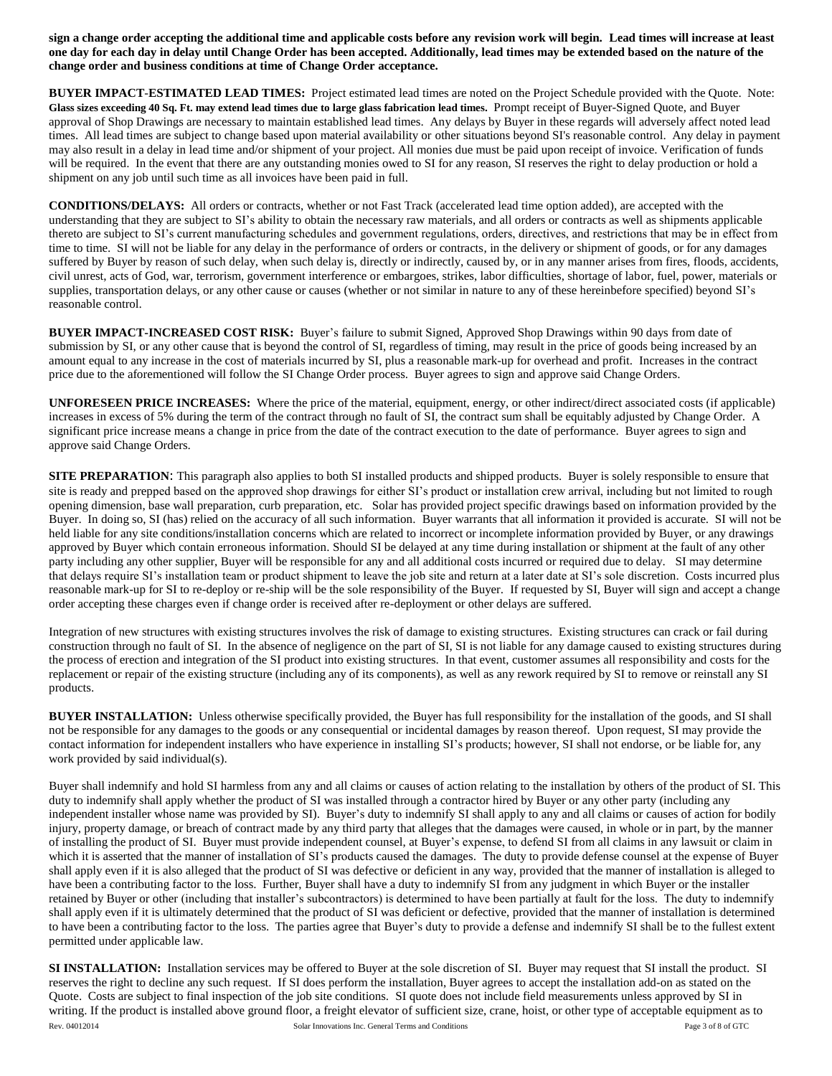**sign a change order accepting the additional time and applicable costs before any revision work will begin. Lead times will increase at least one day for each day in delay until Change Order has been accepted. Additionally, lead times may be extended based on the nature of the change order and business conditions at time of Change Order acceptance.**

**BUYER IMPACT**-**ESTIMATED LEAD TIMES:** Project estimated lead times are noted on the Project Schedule provided with the Quote. Note: **Glass sizes exceeding 40 Sq. Ft. may extend lead times due to large glass fabrication lead times.** Prompt receipt of Buyer-Signed Quote, and Buyer approval of Shop Drawings are necessary to maintain established lead times. Any delays by Buyer in these regards will adversely affect noted lead times. All lead times are subject to change based upon material availability or other situations beyond SI's reasonable control. Any delay in payment may also result in a delay in lead time and/or shipment of your project. All monies due must be paid upon receipt of invoice. Verification of funds will be required. In the event that there are any outstanding monies owed to SI for any reason, SI reserves the right to delay production or hold a shipment on any job until such time as all invoices have been paid in full.

**CONDITIONS/DELAYS:** All orders or contracts, whether or not Fast Track (accelerated lead time option added), are accepted with the understanding that they are subject to SI's ability to obtain the necessary raw materials, and all orders or contracts as well as shipments applicable thereto are subject to SI's current manufacturing schedules and government regulations, orders, directives, and restrictions that may be in effect from time to time. SI will not be liable for any delay in the performance of orders or contracts, in the delivery or shipment of goods, or for any damages suffered by Buyer by reason of such delay, when such delay is, directly or indirectly, caused by, or in any manner arises from fires, floods, accidents, civil unrest, acts of God, war, terrorism, government interference or embargoes, strikes, labor difficulties, shortage of labor, fuel, power, materials or supplies, transportation delays, or any other cause or causes (whether or not similar in nature to any of these hereinbefore specified) beyond SI's reasonable control.

**BUYER IMPACT-INCREASED COST RISK:** Buyer's failure to submit Signed, Approved Shop Drawings within 90 days from date of submission by SI, or any other cause that is beyond the control of SI, regardless of timing, may result in the price of goods being increased by an amount equal to any increase in the cost of materials incurred by SI, plus a reasonable mark-up for overhead and profit. Increases in the contract price due to the aforementioned will follow the SI Change Order process. Buyer agrees to sign and approve said Change Orders.

**UNFORESEEN PRICE INCREASES:** Where the price of the material, equipment, energy, or other indirect/direct associated costs (if applicable) increases in excess of 5% during the term of the contract through no fault of SI, the contract sum shall be equitably adjusted by Change Order. A significant price increase means a change in price from the date of the contract execution to the date of performance. Buyer agrees to sign and approve said Change Orders.

**SITE PREPARATION:** This paragraph also applies to both SI installed products and shipped products. Buyer is solely responsible to ensure that site is ready and prepped based on the approved shop drawings for either SI's product or installation crew arrival, including but not limited to rough opening dimension, base wall preparation, curb preparation, etc. Solar has provided project specific drawings based on information provided by the Buyer. In doing so, SI (has) relied on the accuracy of all such information. Buyer warrants that all information it provided is accurate. SI will not be held liable for any site conditions/installation concerns which are related to incorrect or incomplete information provided by Buyer, or any drawings approved by Buyer which contain erroneous information. Should SI be delayed at any time during installation or shipment at the fault of any other party including any other supplier, Buyer will be responsible for any and all additional costs incurred or required due to delay. SI may determine that delays require SI's installation team or product shipment to leave the job site and return at a later date at SI's sole discretion. Costs incurred plus reasonable mark-up for SI to re-deploy or re-ship will be the sole responsibility of the Buyer. If requested by SI, Buyer will sign and accept a change order accepting these charges even if change order is received after re-deployment or other delays are suffered.

Integration of new structures with existing structures involves the risk of damage to existing structures. Existing structures can crack or fail during construction through no fault of SI. In the absence of negligence on the part of SI, SI is not liable for any damage caused to existing structures during the process of erection and integration of the SI product into existing structures. In that event, customer assumes all responsibility and costs for the replacement or repair of the existing structure (including any of its components), as well as any rework required by SI to remove or reinstall any SI products.

**BUYER INSTALLATION:** Unless otherwise specifically provided, the Buyer has full responsibility for the installation of the goods, and SI shall not be responsible for any damages to the goods or any consequential or incidental damages by reason thereof. Upon request, SI may provide the contact information for independent installers who have experience in installing SI's products; however, SI shall not endorse, or be liable for, any work provided by said individual(s).

Buyer shall indemnify and hold SI harmless from any and all claims or causes of action relating to the installation by others of the product of SI. This duty to indemnify shall apply whether the product of SI was installed through a contractor hired by Buyer or any other party (including any independent installer whose name was provided by SI). Buyer's duty to indemnify SI shall apply to any and all claims or causes of action for bodily injury, property damage, or breach of contract made by any third party that alleges that the damages were caused, in whole or in part, by the manner of installing the product of SI. Buyer must provide independent counsel, at Buyer's expense, to defend SI from all claims in any lawsuit or claim in which it is asserted that the manner of installation of SI's products caused the damages. The duty to provide defense counsel at the expense of Buyer shall apply even if it is also alleged that the product of SI was defective or deficient in any way, provided that the manner of installation is alleged to have been a contributing factor to the loss. Further, Buyer shall have a duty to indemnify SI from any judgment in which Buyer or the installer retained by Buyer or other (including that installer's subcontractors) is determined to have been partially at fault for the loss. The duty to indemnify shall apply even if it is ultimately determined that the product of SI was deficient or defective, provided that the manner of installation is determined to have been a contributing factor to the loss. The parties agree that Buyer's duty to provide a defense and indemnify SI shall be to the fullest extent permitted under applicable law.

Rev. 04012014 Page 3 of 8 of GTC Schar Innovations Inc. General Terms and Conditions Page 3 of 8 of GTC **SI INSTALLATION:** Installation services may be offered to Buyer at the sole discretion of SI. Buyer may request that SI install the product. SI reserves the right to decline any such request. If SI does perform the installation, Buyer agrees to accept the installation add-on as stated on the Quote. Costs are subject to final inspection of the job site conditions. SI quote does not include field measurements unless approved by SI in writing. If the product is installed above ground floor, a freight elevator of sufficient size, crane, hoist, or other type of acceptable equipment as to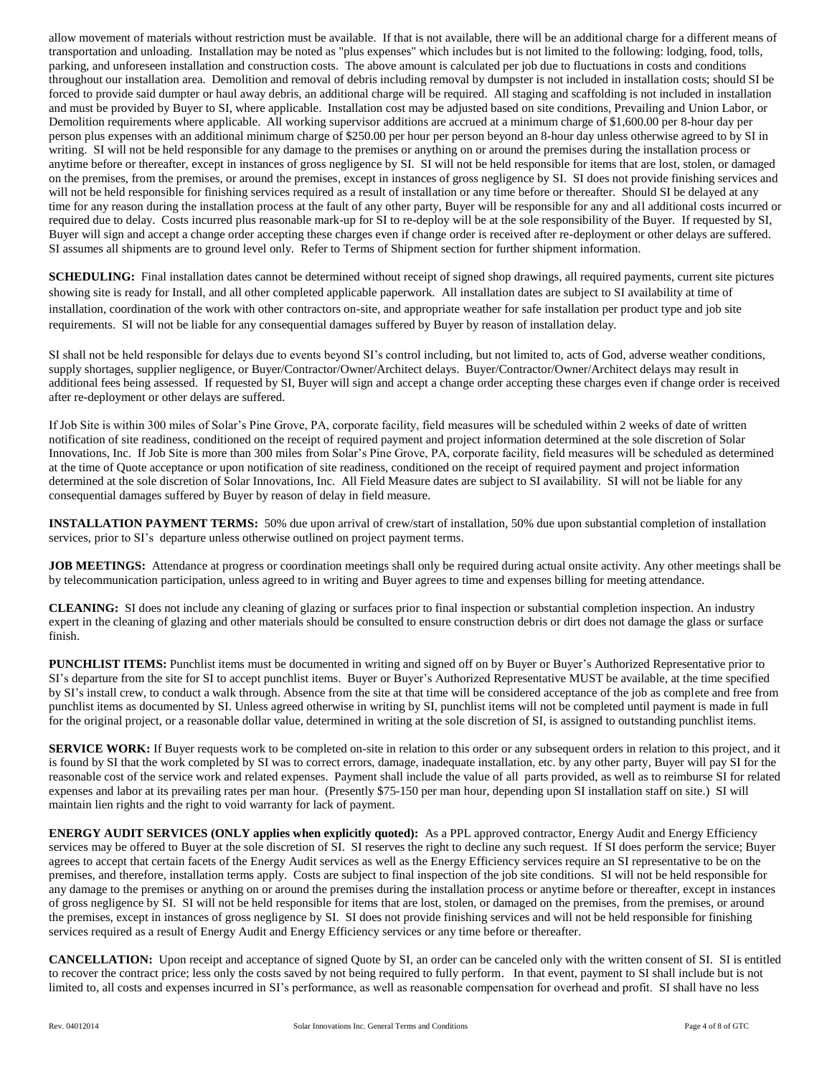allow movement of materials without restriction must be available. If that is not available, there will be an additional charge for a different means of transportation and unloading. Installation may be noted as "plus expenses" which includes but is not limited to the following: lodging, food, tolls, parking, and unforeseen installation and construction costs. The above amount is calculated per job due to fluctuations in costs and conditions throughout our installation area. Demolition and removal of debris including removal by dumpster is not included in installation costs; should SI be forced to provide said dumpter or haul away debris, an additional charge will be required. All staging and scaffolding is not included in installation and must be provided by Buyer to SI, where applicable. Installation cost may be adjusted based on site conditions, Prevailing and Union Labor, or Demolition requirements where applicable. All working supervisor additions are accrued at a minimum charge of \$1,600.00 per 8-hour day per person plus expenses with an additional minimum charge of \$250.00 per hour per person beyond an 8-hour day unless otherwise agreed to by SI in writing. SI will not be held responsible for any damage to the premises or anything on or around the premises during the installation process or anytime before or thereafter, except in instances of gross negligence by SI. SI will not be held responsible for items that are lost, stolen, or damaged on the premises, from the premises, or around the premises, except in instances of gross negligence by SI. SI does not provide finishing services and will not be held responsible for finishing services required as a result of installation or any time before or thereafter. Should SI be delayed at any time for any reason during the installation process at the fault of any other party, Buyer will be responsible for any and all additional costs incurred or required due to delay. Costs incurred plus reasonable mark-up for SI to re-deploy will be at the sole responsibility of the Buyer. If requested by SI, Buyer will sign and accept a change order accepting these charges even if change order is received after re-deployment or other delays are suffered. SI assumes all shipments are to ground level only. Refer to Terms of Shipment section for further shipment information.

**SCHEDULING:** Final installation dates cannot be determined without receipt of signed shop drawings, all required payments, current site pictures showing site is ready for Install, and all other completed applicable paperwork. All installation dates are subject to SI availability at time of installation, coordination of the work with other contractors on-site, and appropriate weather for safe installation per product type and job site requirements. SI will not be liable for any consequential damages suffered by Buyer by reason of installation delay.

SI shall not be held responsible for delays due to events beyond SI's control including, but not limited to, acts of God, adverse weather conditions, supply shortages, supplier negligence, or Buyer/Contractor/Owner/Architect delays. Buyer/Contractor/Owner/Architect delays may result in additional fees being assessed. If requested by SI, Buyer will sign and accept a change order accepting these charges even if change order is received after re-deployment or other delays are suffered.

If Job Site is within 300 miles of Solar's Pine Grove, PA, corporate facility, field measures will be scheduled within 2 weeks of date of written notification of site readiness, conditioned on the receipt of required payment and project information determined at the sole discretion of Solar Innovations, Inc. If Job Site is more than 300 miles from Solar's Pine Grove, PA, corporate facility, field measures will be scheduled as determined at the time of Quote acceptance or upon notification of site readiness, conditioned on the receipt of required payment and project information determined at the sole discretion of Solar Innovations, Inc. All Field Measure dates are subject to SI availability. SI will not be liable for any consequential damages suffered by Buyer by reason of delay in field measure.

**INSTALLATION PAYMENT TERMS:** 50% due upon arrival of crew/start of installation, 50% due upon substantial completion of installation services, prior to SI's departure unless otherwise outlined on project payment terms.

**JOB MEETINGS:** Attendance at progress or coordination meetings shall only be required during actual onsite activity. Any other meetings shall be by telecommunication participation, unless agreed to in writing and Buyer agrees to time and expenses billing for meeting attendance.

**CLEANING:** SI does not include any cleaning of glazing or surfaces prior to final inspection or substantial completion inspection. An industry expert in the cleaning of glazing and other materials should be consulted to ensure construction debris or dirt does not damage the glass or surface finish.

**PUNCHLIST ITEMS:** Punchlist items must be documented in writing and signed off on by Buyer or Buyer's Authorized Representative prior to SI's departure from the site for SI to accept punchlist items. Buyer or Buyer's Authorized Representative MUST be available, at the time specified by SI's install crew, to conduct a walk through. Absence from the site at that time will be considered acceptance of the job as complete and free from punchlist items as documented by SI. Unless agreed otherwise in writing by SI, punchlist items will not be completed until payment is made in full for the original project, or a reasonable dollar value, determined in writing at the sole discretion of SI, is assigned to outstanding punchlist items.

**SERVICE WORK:** If Buyer requests work to be completed on-site in relation to this order or any subsequent orders in relation to this project, and it is found by SI that the work completed by SI was to correct errors, damage, inadequate installation, etc. by any other party, Buyer will pay SI for the reasonable cost of the service work and related expenses. Payment shall include the value of all parts provided, as well as to reimburse SI for related expenses and labor at its prevailing rates per man hour. (Presently \$75-150 per man hour, depending upon SI installation staff on site.) SI will maintain lien rights and the right to void warranty for lack of payment.

**ENERGY AUDIT SERVICES (ONLY applies when explicitly quoted):** As a PPL approved contractor, Energy Audit and Energy Efficiency services may be offered to Buyer at the sole discretion of SI. SI reserves the right to decline any such request. If SI does perform the service; Buyer agrees to accept that certain facets of the Energy Audit services as well as the Energy Efficiency services require an SI representative to be on the premises, and therefore, installation terms apply. Costs are subject to final inspection of the job site conditions. SI will not be held responsible for any damage to the premises or anything on or around the premises during the installation process or anytime before or thereafter, except in instances of gross negligence by SI. SI will not be held responsible for items that are lost, stolen, or damaged on the premises, from the premises, or around the premises, except in instances of gross negligence by SI. SI does not provide finishing services and will not be held responsible for finishing services required as a result of Energy Audit and Energy Efficiency services or any time before or thereafter.

**CANCELLATION:** Upon receipt and acceptance of signed Quote by SI, an order can be canceled only with the written consent of SI. SI is entitled to recover the contract price; less only the costs saved by not being required to fully perform. In that event, payment to SI shall include but is not limited to, all costs and expenses incurred in SI's performance, as well as reasonable compensation for overhead and profit. SI shall have no less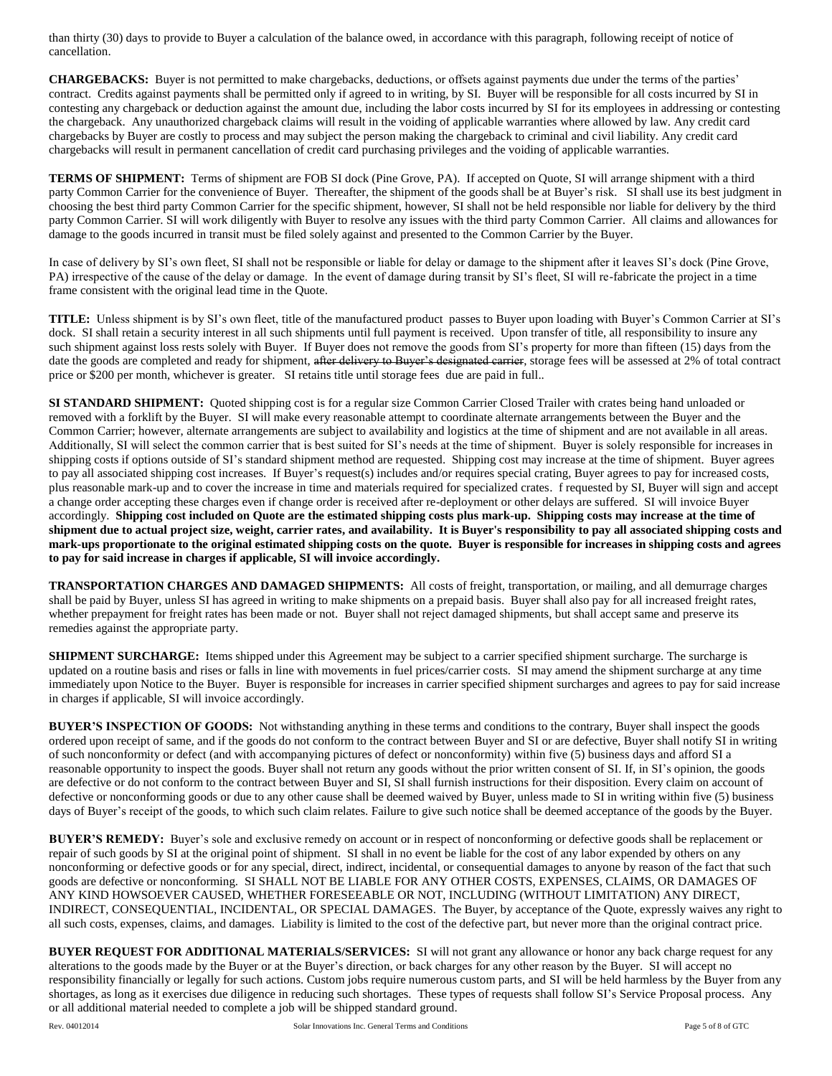than thirty (30) days to provide to Buyer a calculation of the balance owed, in accordance with this paragraph, following receipt of notice of cancellation.

**CHARGEBACKS:** Buyer is not permitted to make chargebacks, deductions, or offsets against payments due under the terms of the parties' contract. Credits against payments shall be permitted only if agreed to in writing, by SI. Buyer will be responsible for all costs incurred by SI in contesting any chargeback or deduction against the amount due, including the labor costs incurred by SI for its employees in addressing or contesting the chargeback. Any unauthorized chargeback claims will result in the voiding of applicable warranties where allowed by law. Any credit card chargebacks by Buyer are costly to process and may subject the person making the chargeback to criminal and civil liability. Any credit card chargebacks will result in permanent cancellation of credit card purchasing privileges and the voiding of applicable warranties.

**TERMS OF SHIPMENT:** Terms of shipment are FOB SI dock (Pine Grove, PA). If accepted on Quote, SI will arrange shipment with a third party Common Carrier for the convenience of Buyer. Thereafter, the shipment of the goods shall be at Buyer's risk. SI shall use its best judgment in choosing the best third party Common Carrier for the specific shipment, however, SI shall not be held responsible nor liable for delivery by the third party Common Carrier. SI will work diligently with Buyer to resolve any issues with the third party Common Carrier. All claims and allowances for damage to the goods incurred in transit must be filed solely against and presented to the Common Carrier by the Buyer.

In case of delivery by SI's own fleet, SI shall not be responsible or liable for delay or damage to the shipment after it leaves SI's dock (Pine Grove, PA) irrespective of the cause of the delay or damage. In the event of damage during transit by SI's fleet, SI will re-fabricate the project in a time frame consistent with the original lead time in the Quote.

**TITLE:** Unless shipment is by SI's own fleet, title of the manufactured product passes to Buyer upon loading with Buyer's Common Carrier at SI's dock. SI shall retain a security interest in all such shipments until full payment is received. Upon transfer of title, all responsibility to insure any such shipment against loss rests solely with Buyer. If Buyer does not remove the goods from SI's property for more than fifteen (15) days from the date the goods are completed and ready for shipment, after delivery to Buyer's designated carrier, storage fees will be assessed at 2% of total contract price or \$200 per month, whichever is greater. SI retains title until storage fees due are paid in full..

**SI STANDARD SHIPMENT:** Quoted shipping cost is for a regular size Common Carrier Closed Trailer with crates being hand unloaded or removed with a forklift by the Buyer. SI will make every reasonable attempt to coordinate alternate arrangements between the Buyer and the Common Carrier; however, alternate arrangements are subject to availability and logistics at the time of shipment and are not available in all areas. Additionally, SI will select the common carrier that is best suited for SI's needs at the time of shipment. Buyer is solely responsible for increases in shipping costs if options outside of SI's standard shipment method are requested. Shipping cost may increase at the time of shipment. Buyer agrees to pay all associated shipping cost increases. If Buyer's request(s) includes and/or requires special crating, Buyer agrees to pay for increased costs, plus reasonable mark-up and to cover the increase in time and materials required for specialized crates. f requested by SI, Buyer will sign and accept a change order accepting these charges even if change order is received after re-deployment or other delays are suffered. SI will invoice Buyer accordingly. **Shipping cost included on Quote are the estimated shipping costs plus mark-up. Shipping costs may increase at the time of shipment due to actual project size, weight, carrier rates, and availability. It is Buyer's responsibility to pay all associated shipping costs and mark-ups proportionate to the original estimated shipping costs on the quote. Buyer is responsible for increases in shipping costs and agrees to pay for said increase in charges if applicable, SI will invoice accordingly.**

**TRANSPORTATION CHARGES AND DAMAGED SHIPMENTS:** All costs of freight, transportation, or mailing, and all demurrage charges shall be paid by Buyer, unless SI has agreed in writing to make shipments on a prepaid basis. Buyer shall also pay for all increased freight rates, whether prepayment for freight rates has been made or not. Buyer shall not reject damaged shipments, but shall accept same and preserve its remedies against the appropriate party.

**SHIPMENT SURCHARGE:** Items shipped under this Agreement may be subject to a carrier specified shipment surcharge. The surcharge is updated on a routine basis and rises or falls in line with movements in fuel prices/carrier costs. SI may amend the shipment surcharge at any time immediately upon Notice to the Buyer. Buyer is responsible for increases in carrier specified shipment surcharges and agrees to pay for said increase in charges if applicable, SI will invoice accordingly.

**BUYER'S INSPECTION OF GOODS:** Not withstanding anything in these terms and conditions to the contrary, Buyer shall inspect the goods ordered upon receipt of same, and if the goods do not conform to the contract between Buyer and SI or are defective, Buyer shall notify SI in writing of such nonconformity or defect (and with accompanying pictures of defect or nonconformity) within five (5) business days and afford SI a reasonable opportunity to inspect the goods. Buyer shall not return any goods without the prior written consent of SI. If, in SI's opinion, the goods are defective or do not conform to the contract between Buyer and SI, SI shall furnish instructions for their disposition. Every claim on account of defective or nonconforming goods or due to any other cause shall be deemed waived by Buyer, unless made to SI in writing within five (5) business days of Buyer's receipt of the goods, to which such claim relates. Failure to give such notice shall be deemed acceptance of the goods by the Buyer.

**BUYER'S REMEDY:** Buyer's sole and exclusive remedy on account or in respect of nonconforming or defective goods shall be replacement or repair of such goods by SI at the original point of shipment. SI shall in no event be liable for the cost of any labor expended by others on any nonconforming or defective goods or for any special, direct, indirect, incidental, or consequential damages to anyone by reason of the fact that such goods are defective or nonconforming. SI SHALL NOT BE LIABLE FOR ANY OTHER COSTS, EXPENSES, CLAIMS, OR DAMAGES OF ANY KIND HOWSOEVER CAUSED, WHETHER FORESEEABLE OR NOT, INCLUDING (WITHOUT LIMITATION) ANY DIRECT, INDIRECT, CONSEQUENTIAL, INCIDENTAL, OR SPECIAL DAMAGES. The Buyer, by acceptance of the Quote, expressly waives any right to all such costs, expenses, claims, and damages. Liability is limited to the cost of the defective part, but never more than the original contract price.

**BUYER REQUEST FOR ADDITIONAL MATERIALS/SERVICES:** SI will not grant any allowance or honor any back charge request for any alterations to the goods made by the Buyer or at the Buyer's direction, or back charges for any other reason by the Buyer. SI will accept no responsibility financially or legally for such actions. Custom jobs require numerous custom parts, and SI will be held harmless by the Buyer from any shortages, as long as it exercises due diligence in reducing such shortages. These types of requests shall follow SI's Service Proposal process. Any or all additional material needed to complete a job will be shipped standard ground.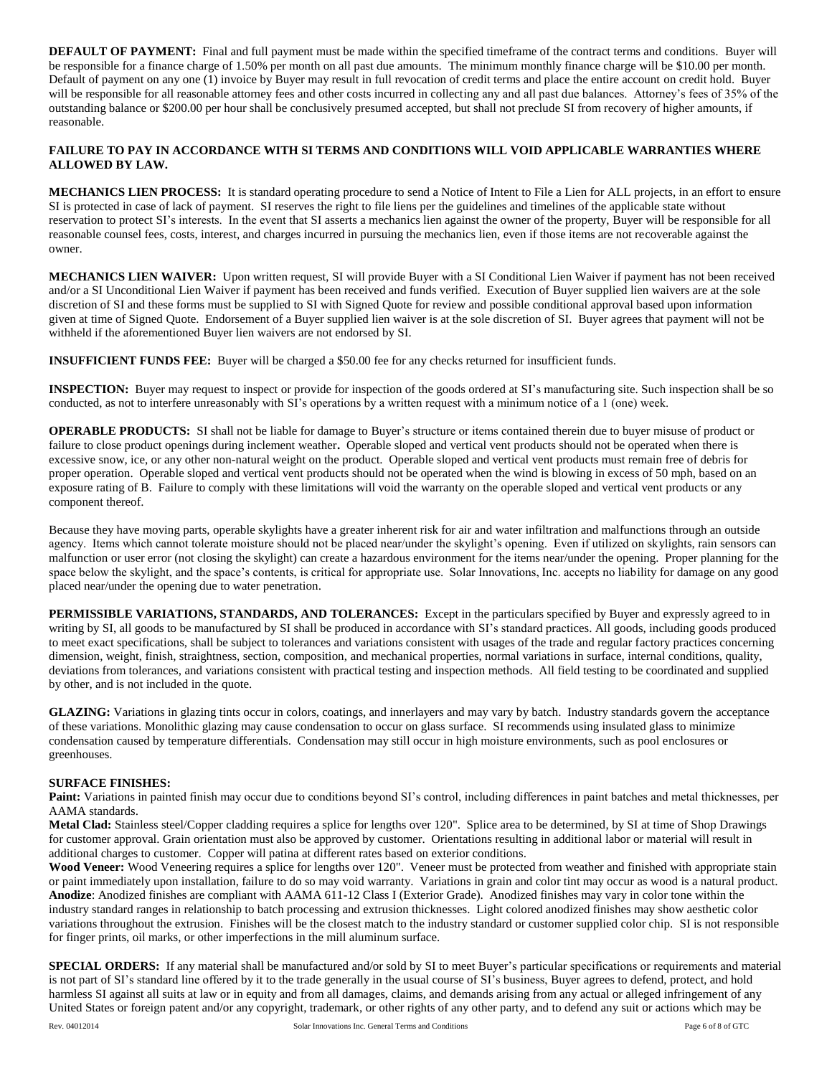**DEFAULT OF PAYMENT:** Final and full payment must be made within the specified timeframe of the contract terms and conditions. Buyer will be responsible for a finance charge of 1.50% per month on all past due amounts. The minimum monthly finance charge will be \$10.00 per month. Default of payment on any one (1) invoice by Buyer may result in full revocation of credit terms and place the entire account on credit hold. Buyer will be responsible for all reasonable attorney fees and other costs incurred in collecting any and all past due balances. Attorney's fees of 35% of the outstanding balance or \$200.00 per hour shall be conclusively presumed accepted, but shall not preclude SI from recovery of higher amounts, if reasonable.

### **FAILURE TO PAY IN ACCORDANCE WITH SI TERMS AND CONDITIONS WILL VOID APPLICABLE WARRANTIES WHERE ALLOWED BY LAW.**

**MECHANICS LIEN PROCESS:** It is standard operating procedure to send a Notice of Intent to File a Lien for ALL projects, in an effort to ensure SI is protected in case of lack of payment. SI reserves the right to file liens per the guidelines and timelines of the applicable state without reservation to protect SI's interests. In the event that SI asserts a mechanics lien against the owner of the property, Buyer will be responsible for all reasonable counsel fees, costs, interest, and charges incurred in pursuing the mechanics lien, even if those items are not recoverable against the owner.

**MECHANICS LIEN WAIVER:** Upon written request, SI will provide Buyer with a SI Conditional Lien Waiver if payment has not been received and/or a SI Unconditional Lien Waiver if payment has been received and funds verified. Execution of Buyer supplied lien waivers are at the sole discretion of SI and these forms must be supplied to SI with Signed Quote for review and possible conditional approval based upon information given at time of Signed Quote. Endorsement of a Buyer supplied lien waiver is at the sole discretion of SI. Buyer agrees that payment will not be withheld if the aforementioned Buyer lien waivers are not endorsed by SI.

**INSUFFICIENT FUNDS FEE:** Buyer will be charged a \$50.00 fee for any checks returned for insufficient funds.

**INSPECTION:** Buyer may request to inspect or provide for inspection of the goods ordered at SI's manufacturing site. Such inspection shall be so conducted, as not to interfere unreasonably with SI's operations by a written request with a minimum notice of a 1 (one) week.

**OPERABLE PRODUCTS:** SI shall not be liable for damage to Buyer's structure or items contained therein due to buyer misuse of product or failure to close product openings during inclement weather**.** Operable sloped and vertical vent products should not be operated when there is excessive snow, ice, or any other non-natural weight on the product. Operable sloped and vertical vent products must remain free of debris for proper operation. Operable sloped and vertical vent products should not be operated when the wind is blowing in excess of 50 mph, based on an exposure rating of B. Failure to comply with these limitations will void the warranty on the operable sloped and vertical vent products or any component thereof.

Because they have moving parts, operable skylights have a greater inherent risk for air and water infiltration and malfunctions through an outside agency. Items which cannot tolerate moisture should not be placed near/under the skylight's opening. Even if utilized on skylights, rain sensors can malfunction or user error (not closing the skylight) can create a hazardous environment for the items near/under the opening. Proper planning for the space below the skylight, and the space's contents, is critical for appropriate use. Solar Innovations, Inc. accepts no liability for damage on any good placed near/under the opening due to water penetration.

**PERMISSIBLE VARIATIONS, STANDARDS, AND TOLERANCES:** Except in the particulars specified by Buyer and expressly agreed to in writing by SI, all goods to be manufactured by SI shall be produced in accordance with SI's standard practices. All goods, including goods produced to meet exact specifications, shall be subject to tolerances and variations consistent with usages of the trade and regular factory practices concerning dimension, weight, finish, straightness, section, composition, and mechanical properties, normal variations in surface, internal conditions, quality, deviations from tolerances, and variations consistent with practical testing and inspection methods. All field testing to be coordinated and supplied by other, and is not included in the quote.

**GLAZING:** Variations in glazing tints occur in colors, coatings, and innerlayers and may vary by batch. Industry standards govern the acceptance of these variations. Monolithic glazing may cause condensation to occur on glass surface. SI recommends using insulated glass to minimize condensation caused by temperature differentials. Condensation may still occur in high moisture environments, such as pool enclosures or greenhouses.

## **SURFACE FINISHES:**

**Paint:** Variations in painted finish may occur due to conditions beyond SI's control, including differences in paint batches and metal thicknesses, per AAMA standards.

**Metal Clad:** Stainless steel/Copper cladding requires a splice for lengths over 120". Splice area to be determined, by SI at time of Shop Drawings for customer approval. Grain orientation must also be approved by customer. Orientations resulting in additional labor or material will result in additional charges to customer. Copper will patina at different rates based on exterior conditions.

Wood Veneer: Wood Veneering requires a splice for lengths over 120". Veneer must be protected from weather and finished with appropriate stain or paint immediately upon installation, failure to do so may void warranty. Variations in grain and color tint may occur as wood is a natural product. **Anodize**: Anodized finishes are compliant with AAMA 611-12 Class I (Exterior Grade). Anodized finishes may vary in color tone within the industry standard ranges in relationship to batch processing and extrusion thicknesses. Light colored anodized finishes may show aesthetic color variations throughout the extrusion. Finishes will be the closest match to the industry standard or customer supplied color chip. SI is not responsible for finger prints, oil marks, or other imperfections in the mill aluminum surface.

**SPECIAL ORDERS:** If any material shall be manufactured and/or sold by SI to meet Buyer's particular specifications or requirements and material is not part of SI's standard line offered by it to the trade generally in the usual course of SI's business, Buyer agrees to defend, protect, and hold harmless SI against all suits at law or in equity and from all damages, claims, and demands arising from any actual or alleged infringement of any United States or foreign patent and/or any copyright, trademark, or other rights of any other party, and to defend any suit or actions which may be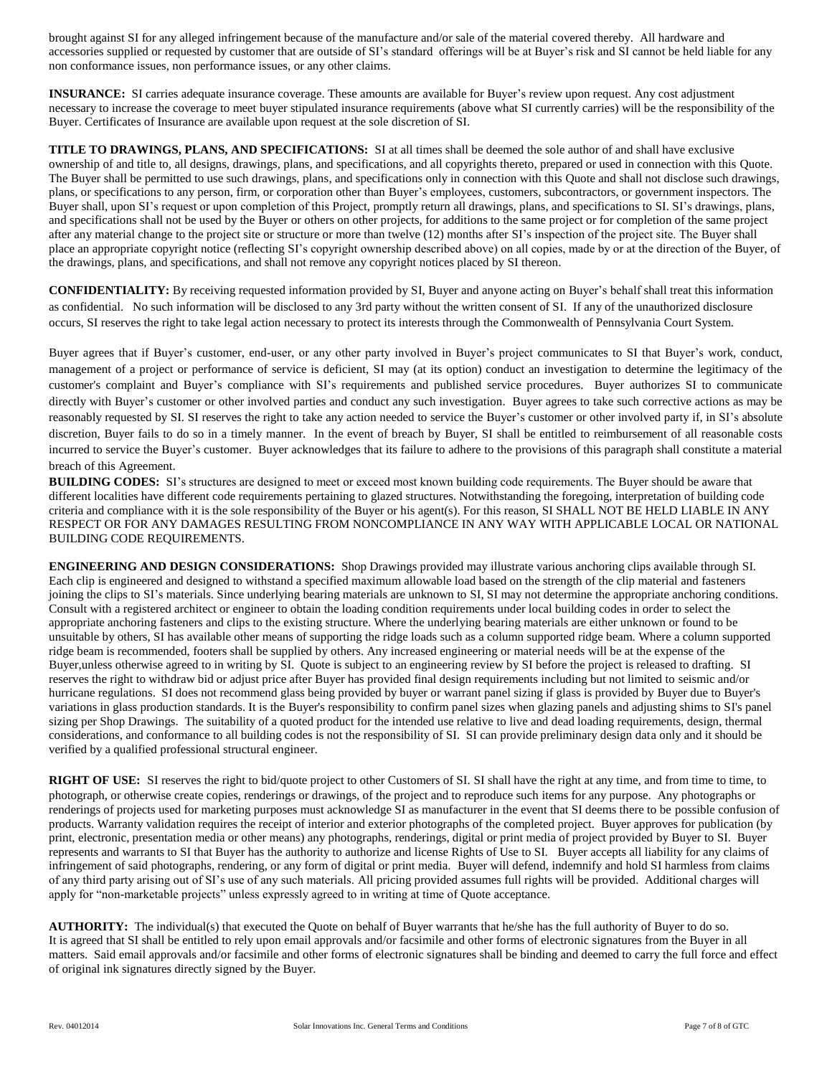brought against SI for any alleged infringement because of the manufacture and/or sale of the material covered thereby. All hardware and accessories supplied or requested by customer that are outside of SI's standard offerings will be at Buyer's risk and SI cannot be held liable for any non conformance issues, non performance issues, or any other claims.

**INSURANCE:** SI carries adequate insurance coverage. These amounts are available for Buyer's review upon request. Any cost adjustment necessary to increase the coverage to meet buyer stipulated insurance requirements (above what SI currently carries) will be the responsibility of the Buyer. Certificates of Insurance are available upon request at the sole discretion of SI.

**TITLE TO DRAWINGS, PLANS, AND SPECIFICATIONS:** SI at all times shall be deemed the sole author of and shall have exclusive ownership of and title to, all designs, drawings, plans, and specifications, and all copyrights thereto, prepared or used in connection with this Quote. The Buyer shall be permitted to use such drawings, plans, and specifications only in connection with this Quote and shall not disclose such drawings, plans, or specifications to any person, firm, or corporation other than Buyer's employees, customers, subcontractors, or government inspectors. The Buyer shall, upon SI's request or upon completion of this Project, promptly return all drawings, plans, and specifications to SI. SI's drawings, plans, and specifications shall not be used by the Buyer or others on other projects, for additions to the same project or for completion of the same project after any material change to the project site or structure or more than twelve (12) months after SI's inspection of the project site. The Buyer shall place an appropriate copyright notice (reflecting SI's copyright ownership described above) on all copies, made by or at the direction of the Buyer, of the drawings, plans, and specifications, and shall not remove any copyright notices placed by SI thereon.

**CONFIDENTIALITY:** By receiving requested information provided by SI, Buyer and anyone acting on Buyer's behalf shall treat this information as confidential. No such information will be disclosed to any 3rd party without the written consent of SI. If any of the unauthorized disclosure occurs, SI reserves the right to take legal action necessary to protect its interests through the Commonwealth of Pennsylvania Court System.

Buyer agrees that if Buyer's customer, end-user, or any other party involved in Buyer's project communicates to SI that Buyer's work, conduct, management of a project or performance of service is deficient, SI may (at its option) conduct an investigation to determine the legitimacy of the customer's complaint and Buyer's compliance with SI's requirements and published service procedures. Buyer authorizes SI to communicate directly with Buyer's customer or other involved parties and conduct any such investigation. Buyer agrees to take such corrective actions as may be reasonably requested by SI. SI reserves the right to take any action needed to service the Buyer's customer or other involved party if, in SI's absolute discretion, Buyer fails to do so in a timely manner. In the event of breach by Buyer, SI shall be entitled to reimbursement of all reasonable costs incurred to service the Buyer's customer. Buyer acknowledges that its failure to adhere to the provisions of this paragraph shall constitute a material breach of this Agreement.

**BUILDING CODES:** SI's structures are designed to meet or exceed most known building code requirements. The Buyer should be aware that different localities have different code requirements pertaining to glazed structures. Notwithstanding the foregoing, interpretation of building code criteria and compliance with it is the sole responsibility of the Buyer or his agent(s). For this reason, SI SHALL NOT BE HELD LIABLE IN ANY RESPECT OR FOR ANY DAMAGES RESULTING FROM NONCOMPLIANCE IN ANY WAY WITH APPLICABLE LOCAL OR NATIONAL BUILDING CODE REQUIREMENTS.

**ENGINEERING AND DESIGN CONSIDERATIONS:** Shop Drawings provided may illustrate various anchoring clips available through SI. Each clip is engineered and designed to withstand a specified maximum allowable load based on the strength of the clip material and fasteners joining the clips to SI's materials. Since underlying bearing materials are unknown to SI, SI may not determine the appropriate anchoring conditions. Consult with a registered architect or engineer to obtain the loading condition requirements under local building codes in order to select the appropriate anchoring fasteners and clips to the existing structure. Where the underlying bearing materials are either unknown or found to be unsuitable by others, SI has available other means of supporting the ridge loads such as a column supported ridge beam. Where a column supported ridge beam is recommended, footers shall be supplied by others. Any increased engineering or material needs will be at the expense of the Buyer,unless otherwise agreed to in writing by SI. Quote is subject to an engineering review by SI before the project is released to drafting. SI reserves the right to withdraw bid or adjust price after Buyer has provided final design requirements including but not limited to seismic and/or hurricane regulations. SI does not recommend glass being provided by buyer or warrant panel sizing if glass is provided by Buyer due to Buyer's variations in glass production standards. It is the Buyer's responsibility to confirm panel sizes when glazing panels and adjusting shims to SI's panel sizing per Shop Drawings.The suitability of a quoted product for the intended use relative to live and dead loading requirements, design, thermal considerations, and conformance to all building codes is not the responsibility of SI. SI can provide preliminary design data only and it should be verified by a qualified professional structural engineer.

**RIGHT OF USE:** SI reserves the right to bid/quote project to other Customers of SI. SI shall have the right at any time, and from time to time, to photograph, or otherwise create copies, renderings or drawings, of the project and to reproduce such items for any purpose. Any photographs or renderings of projects used for marketing purposes must acknowledge SI as manufacturer in the event that SI deems there to be possible confusion of products. Warranty validation requires the receipt of interior and exterior photographs of the completed project. Buyer approves for publication (by print, electronic, presentation media or other means) any photographs, renderings, digital or print media of project provided by Buyer to SI. Buyer represents and warrants to SI that Buyer has the authority to authorize and license Rights of Use to SI. Buyer accepts all liability for any claims of infringement of said photographs, rendering, or any form of digital or print media. Buyer will defend, indemnify and hold SI harmless from claims of any third party arising out of SI's use of any such materials. All pricing provided assumes full rights will be provided. Additional charges will apply for "non-marketable projects" unless expressly agreed to in writing at time of Quote acceptance.

AUTHORITY: The individual(s) that executed the Quote on behalf of Buyer warrants that he/she has the full authority of Buyer to do so. It is agreed that SI shall be entitled to rely upon email approvals and/or facsimile and other forms of electronic signatures from the Buyer in all matters. Said email approvals and/or facsimile and other forms of electronic signatures shall be binding and deemed to carry the full force and effect of original ink signatures directly signed by the Buyer.